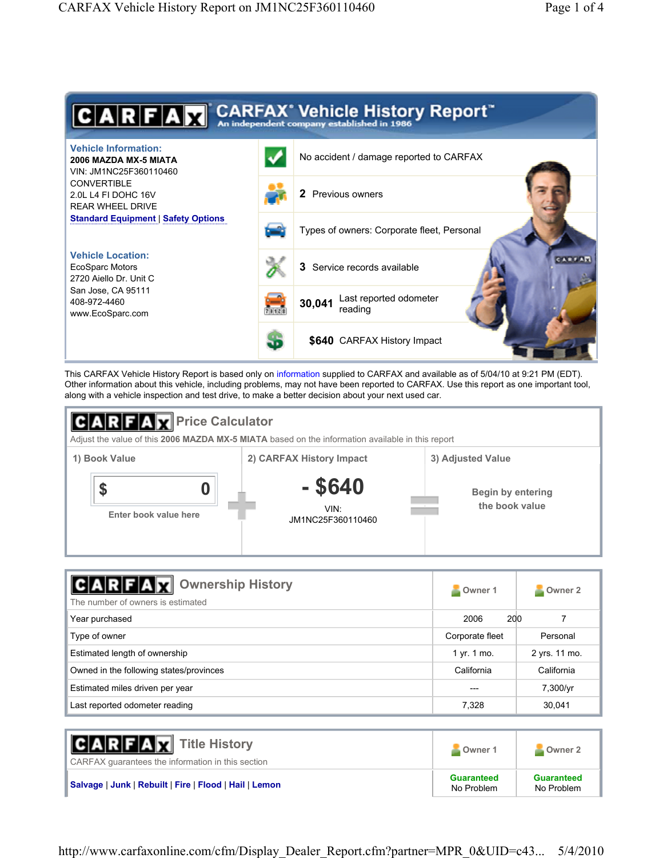

This CARFAX Vehicle History Report is based only on information supplied to CARFAX and available as of 5/04/10 at 9:21 PM (EDT). Other information about this vehicle, including problems, may not have been reported to CARFAX. Use this report as one important tool, along with a vehicle inspection and test drive, to make a better decision about your next used car.



| <b>Ownership History</b><br>$C$ $A$ $R$ $F$ $A$ $X$<br>The number of owners is estimated | Owner 1<br>24          | Owner 2       |
|------------------------------------------------------------------------------------------|------------------------|---------------|
| Year purchased                                                                           | 2006<br>200            |               |
| Type of owner                                                                            | Corporate fleet        | Personal      |
| Estimated length of ownership                                                            | 1 yr. $1 \text{ mo}$ . | 2 yrs. 11 mo. |
| Owned in the following states/provinces                                                  | California             | California    |
| Estimated miles driven per year                                                          | ---                    | 7,300/yr      |
| Last reported odometer reading                                                           | 7,328                  | 30,041        |

| <b>CARFAX</b> Title History<br>CARFAX quarantees the information in this section | Owner 1                         | Owner 2                         |
|----------------------------------------------------------------------------------|---------------------------------|---------------------------------|
| Salvage   Junk   Rebuilt   Fire   Flood   Hail   Lemon                           | <b>Guaranteed</b><br>No Problem | <b>Guaranteed</b><br>No Problem |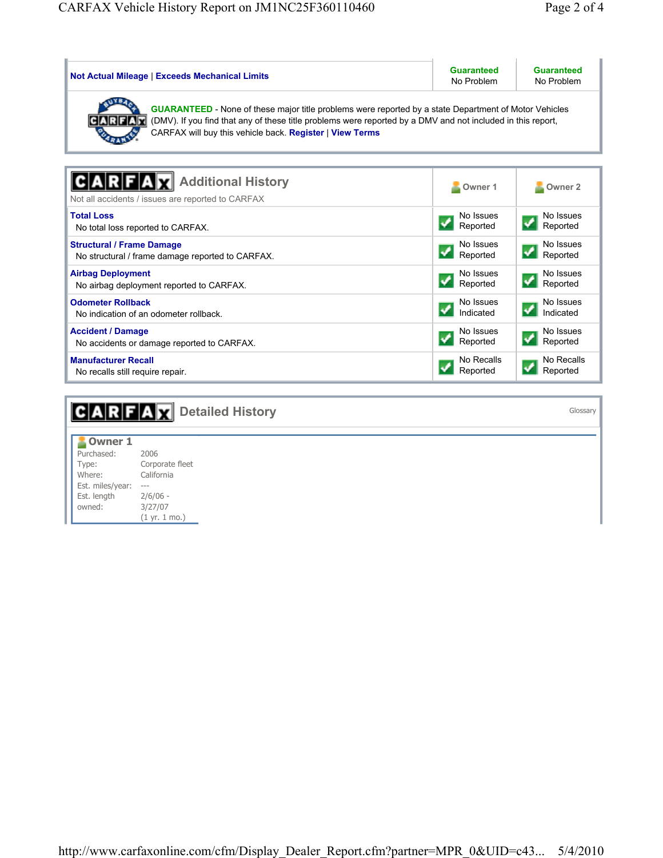i.

| <b>Not Actual Mileage   Exceeds Mechanical Limits</b>                                                                                                                                                                                                                                                 | <b>Guaranteed</b><br>No Problem | <b>Guaranteed</b><br>No Problem |  |
|-------------------------------------------------------------------------------------------------------------------------------------------------------------------------------------------------------------------------------------------------------------------------------------------------------|---------------------------------|---------------------------------|--|
| <b>GUARANTEED</b> - None of these major title problems were reported by a state Department of Motor Vehicles<br>(DMV). If you find that any of these title problems were reported by a DMV and not included in this report,<br> C A R F A<br>CARFAX will buy this vehicle back. Register   View Terms |                                 |                                 |  |
|                                                                                                                                                                                                                                                                                                       |                                 |                                 |  |
| <b>Additional History</b><br>Not all accidents / issues are reported to CARFAX                                                                                                                                                                                                                        | Owner 1                         | Owner <sub>2</sub>              |  |
| <b>Total Loss</b>                                                                                                                                                                                                                                                                                     | No Issues                       | No Issues                       |  |
| No total loss reported to CARFAX.                                                                                                                                                                                                                                                                     | Reported                        | Reported                        |  |
| <b>Structural / Frame Damage</b>                                                                                                                                                                                                                                                                      | No Issues                       | No Issues                       |  |
| No structural / frame damage reported to CARFAX.                                                                                                                                                                                                                                                      | Reported                        | Reported                        |  |
| <b>Airbag Deployment</b>                                                                                                                                                                                                                                                                              | No Issues                       | No Issues                       |  |
| No airbag deployment reported to CARFAX.                                                                                                                                                                                                                                                              | Reported                        | Reported                        |  |
| <b>Odometer Rollback</b>                                                                                                                                                                                                                                                                              | No Issues                       | No Issues                       |  |
| No indication of an odometer rollback.                                                                                                                                                                                                                                                                | Indicated                       | Indicated                       |  |
| <b>Accident / Damage</b>                                                                                                                                                                                                                                                                              | No Issues                       | No Issues                       |  |
| No accidents or damage reported to CARFAX.                                                                                                                                                                                                                                                            | Reported                        | Reported                        |  |
| <b>Manufacturer Recall</b>                                                                                                                                                                                                                                                                            | No Recalls                      | No Recalls                      |  |
| No recalls still require repair.                                                                                                                                                                                                                                                                      | Reported                        | Reported                        |  |

|                                                                                              | <b>CARFAX</b> Detailed History                                                                   | Glossary |
|----------------------------------------------------------------------------------------------|--------------------------------------------------------------------------------------------------|----------|
| <b>Owner 1</b><br>Purchased:<br>Type:<br>Where:<br>Est. miles/year:<br>Est. length<br>owned: | 2006<br>Corporate fleet<br>California<br>$---$<br>$2/6/06 -$<br>3/27/07<br>$(1 \, yr. 1 \, mo.)$ |          |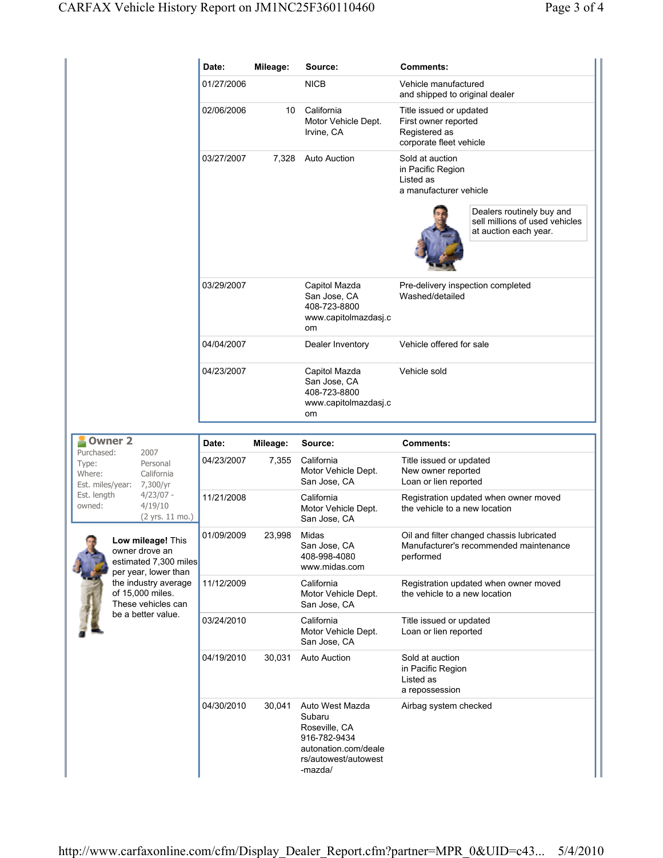|                                                                            |                                                                                                                                                                              | Date:      | Mileage:                                                                           | Source:                                                                     | <b>Comments:</b>                                                                                 |
|----------------------------------------------------------------------------|------------------------------------------------------------------------------------------------------------------------------------------------------------------------------|------------|------------------------------------------------------------------------------------|-----------------------------------------------------------------------------|--------------------------------------------------------------------------------------------------|
|                                                                            |                                                                                                                                                                              | 01/27/2006 |                                                                                    | <b>NICB</b>                                                                 | Vehicle manufactured<br>and shipped to original dealer                                           |
|                                                                            |                                                                                                                                                                              | 02/06/2006 | 10                                                                                 | California<br>Motor Vehicle Dept.<br>Irvine, CA                             | Title issued or updated<br>First owner reported<br>Registered as<br>corporate fleet vehicle      |
|                                                                            |                                                                                                                                                                              | 03/27/2007 | 7,328                                                                              | <b>Auto Auction</b>                                                         | Sold at auction<br>in Pacific Region<br>Listed as<br>a manufacturer vehicle                      |
|                                                                            |                                                                                                                                                                              |            |                                                                                    |                                                                             | Dealers routinely buy and<br>sell millions of used vehicles<br>at auction each year.             |
|                                                                            | 03/29/2007                                                                                                                                                                   |            | Capitol Mazda<br>San Jose, CA<br>408-723-8800<br>www.capitolmazdasj.c<br><b>om</b> | Pre-delivery inspection completed<br>Washed/detailed                        |                                                                                                  |
|                                                                            | 04/04/2007                                                                                                                                                                   |            | Dealer Inventory                                                                   | Vehicle offered for sale                                                    |                                                                                                  |
|                                                                            |                                                                                                                                                                              | 04/23/2007 |                                                                                    | Capitol Mazda<br>San Jose, CA<br>408-723-8800<br>www.capitolmazdasj.c<br>om | Vehicle sold                                                                                     |
| <b>Owner 2</b>                                                             |                                                                                                                                                                              | Date:      | Mileage:                                                                           | Source:                                                                     | <b>Comments:</b>                                                                                 |
| Purchased:<br>Type:<br>Where:<br>Est. miles/year:<br>Est. length<br>owned: | 2007<br>Personal<br>California<br>7,300/yr<br>$4/23/07 -$<br>4/19/10<br>(2 yrs. 11 mo.)                                                                                      | 04/23/2007 | 7,355                                                                              | California<br>Motor Vehicle Dept.<br>San Jose, CA                           | Title issued or updated<br>New owner reported<br>Loan or lien reported                           |
|                                                                            |                                                                                                                                                                              | 11/21/2008 |                                                                                    | California<br>Motor Vehicle Dept.<br>San Jose, CA                           | Registration updated when owner moved<br>the vehicle to a new location                           |
|                                                                            | Low mileage! This<br>owner drove an<br>estimated 7,300 miles<br>per year, lower than<br>the industry average<br>of 15,000 miles.<br>These vehicles can<br>be a better value. | 01/09/2009 | 23,998                                                                             | Midas<br>San Jose, CA<br>408-998-4080<br>www.midas.com                      | Oil and filter changed chassis lubricated<br>Manufacturer's recommended maintenance<br>performed |
|                                                                            |                                                                                                                                                                              | 11/12/2009 |                                                                                    | California<br>Motor Vehicle Dept.<br>San Jose, CA                           | Registration updated when owner moved<br>the vehicle to a new location                           |
|                                                                            |                                                                                                                                                                              | 03/24/2010 |                                                                                    | California<br>Motor Vehicle Dept.<br>San Jose, CA                           | Title issued or updated<br>Loan or lien reported                                                 |
|                                                                            |                                                                                                                                                                              | 04/19/2010 | 30,031                                                                             | <b>Auto Auction</b>                                                         | Sold at auction<br>in Pacific Region<br>Listed as<br>a repossession                              |
|                                                                            |                                                                                                                                                                              | 04/30/2010 | 30,041                                                                             | Auto West Mazda<br>Subaru<br>Roseville, CA<br>916-782-9434                  | Airbag system checked                                                                            |